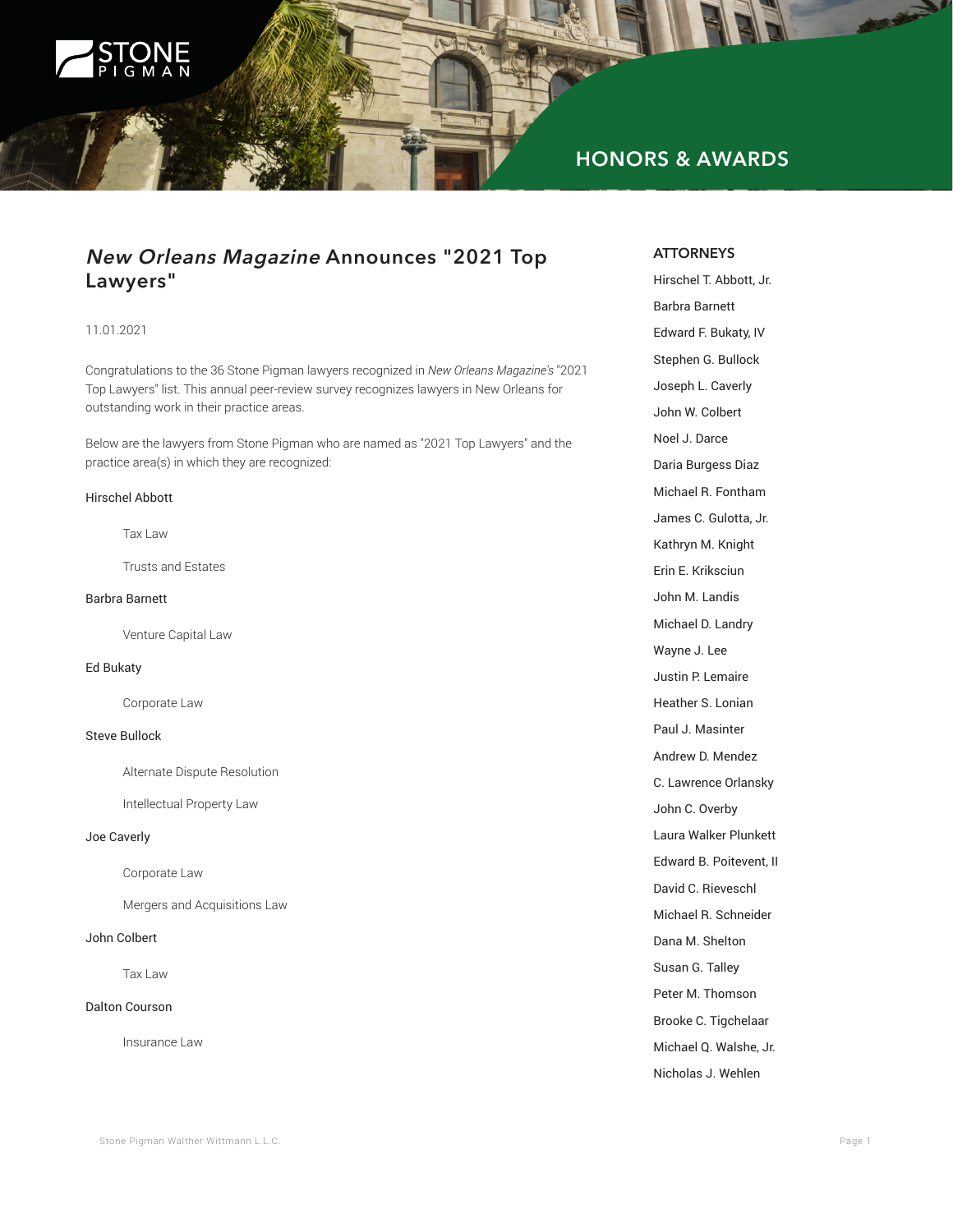

# **HONORS & AWARDS**

# **New Orleans Magazine Announces "2021 Top Lawyers"**

# 11.01.2021

Congratulations to the 36 Stone Pigman lawyers recognized in *New Orleans Magazine's* "2021 Top Lawyers" list. This annual peer-review survey recognizes lawyers in New Orleans for outstanding work in their practice areas.

Below are the lawyers from Stone Pigman who are named as "2021 Top Lawyers" and the practice area(s) in which they are recognized:

#### Hirschel Abbott

Tax Law

Trusts and Estates

# Barbra Barnett

Venture Capital Law

#### Ed Bukaty

Corporate Law

## Steve Bullock

Alternate Dispute Resolution

Intellectual Property Law

#### Joe Caverly

Corporate Law

Mergers and Acquisitions Law

#### John Colbert

Tax Law

#### Dalton Courson

Insurance Law

#### **ATTORNEYS**

Hirschel T. Abbott, Jr. Barbra Barnett Edward F. Bukaty, IV Stephen G. Bullock Joseph L. Caverly John W. Colbert Noel J. Darce Daria Burgess Diaz Michael R. Fontham James C. Gulotta, Jr. Kathryn M. Knight Erin E. Kriksciun John M. Landis Michael D. Landry Wayne J. Lee Justin P. Lemaire Heather S. Lonian Paul J. Masinter Andrew D. Mendez C. Lawrence Orlansky John C. Overby Laura Walker Plunkett Edward B. Poitevent, II David C. Rieveschl Michael R. Schneider Dana M. Shelton Susan G. Talley Peter M. Thomson Brooke C. Tigchelaar Michael Q. Walshe, Jr. Nicholas J. Wehlen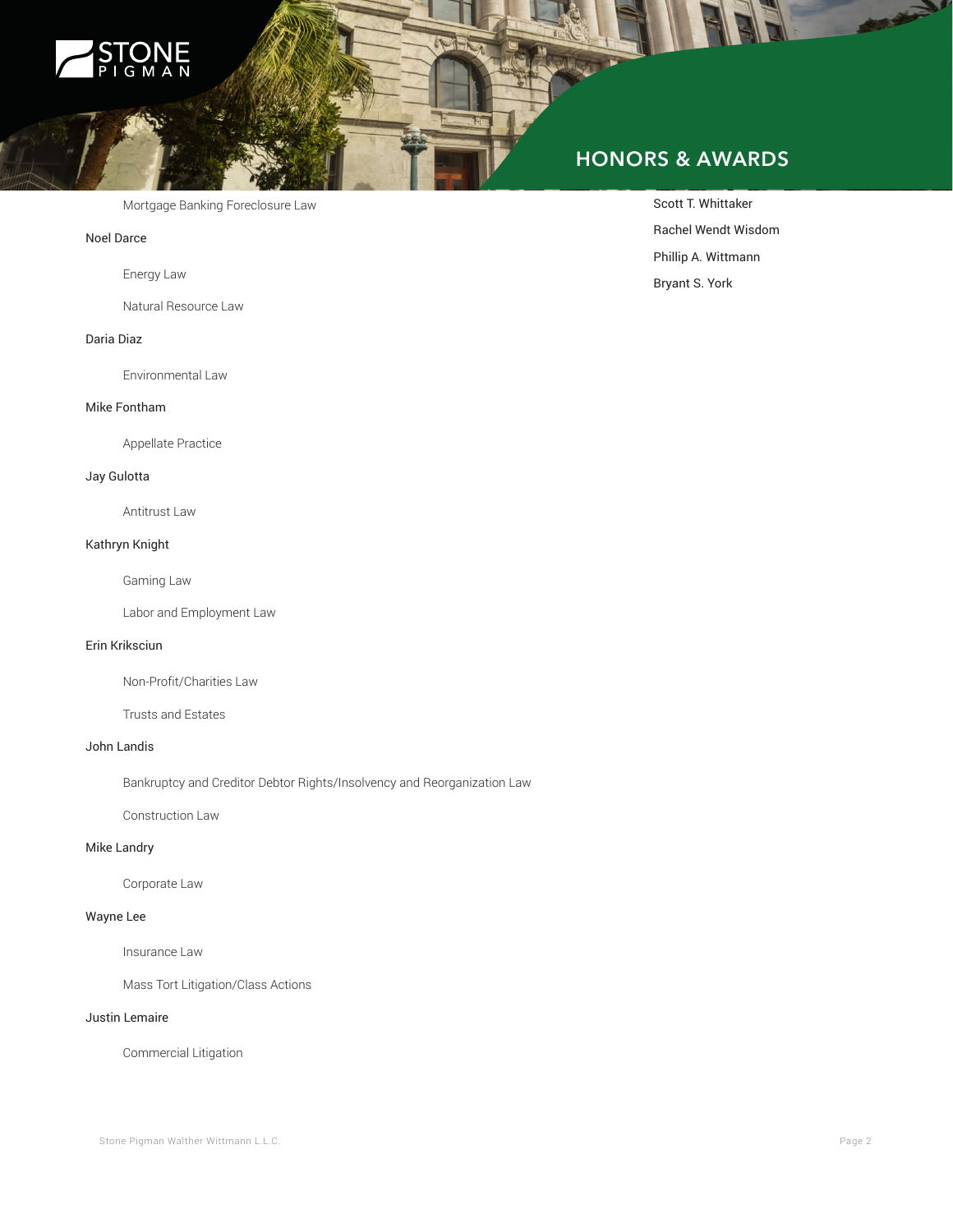

Mortgage Banking Foreclosure Law

#### Noel Darce

Energy Law

Natural Resource Law

## Daria Diaz

Environmental Law

#### Mike Fontham

Appellate Practice

#### Jay Gulotta

Antitrust Law

#### Kathryn Knight

Gaming Law

Labor and Employment Law

#### Erin Kriksciun

Non-Profit/Charities Law

Trusts and Estates

# John Landis

Bankruptcy and Creditor Debtor Rights/Insolvency and Reorganization Law

Construction Law

# Mike Landry

Corporate Law

# Wayne Lee

Insurance Law

Mass Tort Litigation/Class Actions

#### Justin Lemaire

Commercial Litigation

# **HONORS & AWARDS**

Scott T. Whittaker Rachel Wendt Wisdom Phillip A. Wittmann Bryant S. York

لحت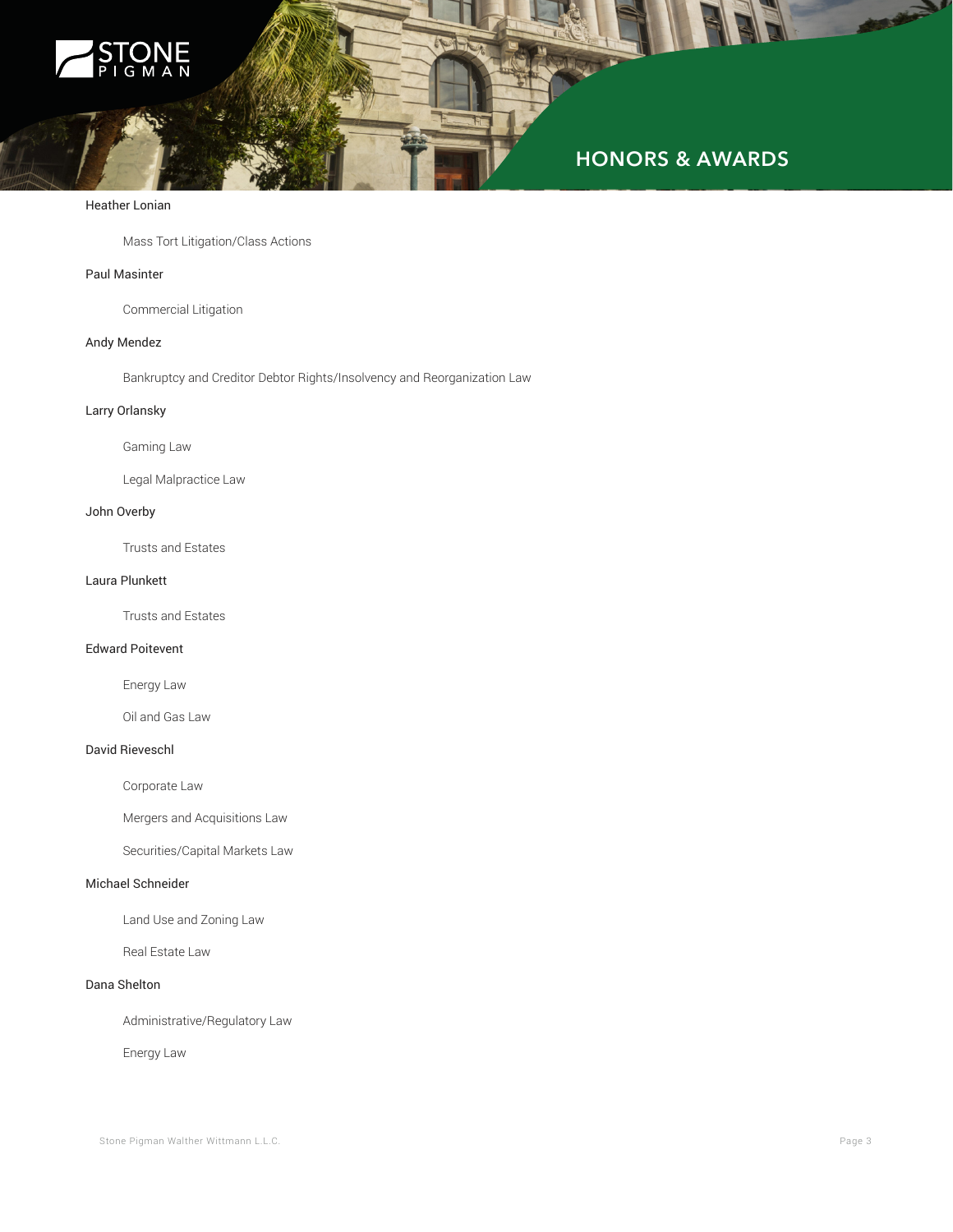

#### Heather Lonian

Mass Tort Litigation/Class Actions

#### Paul Masinter

Commercial Litigation

# Andy Mendez

Bankruptcy and Creditor Debtor Rights/Insolvency and Reorganization Law

# Larry Orlansky

Gaming Law

Legal Malpractice Law

#### John Overby

Trusts and Estates

#### Laura Plunkett

Trusts and Estates

#### Edward Poitevent

Energy Law

Oil and Gas Law

#### David Rieveschl

Corporate Law

Mergers and Acquisitions Law

Securities/Capital Markets Law

#### Michael Schneider

Land Use and Zoning Law

Real Estate Law

# Dana Shelton

Administrative/Regulatory Law

Energy Law